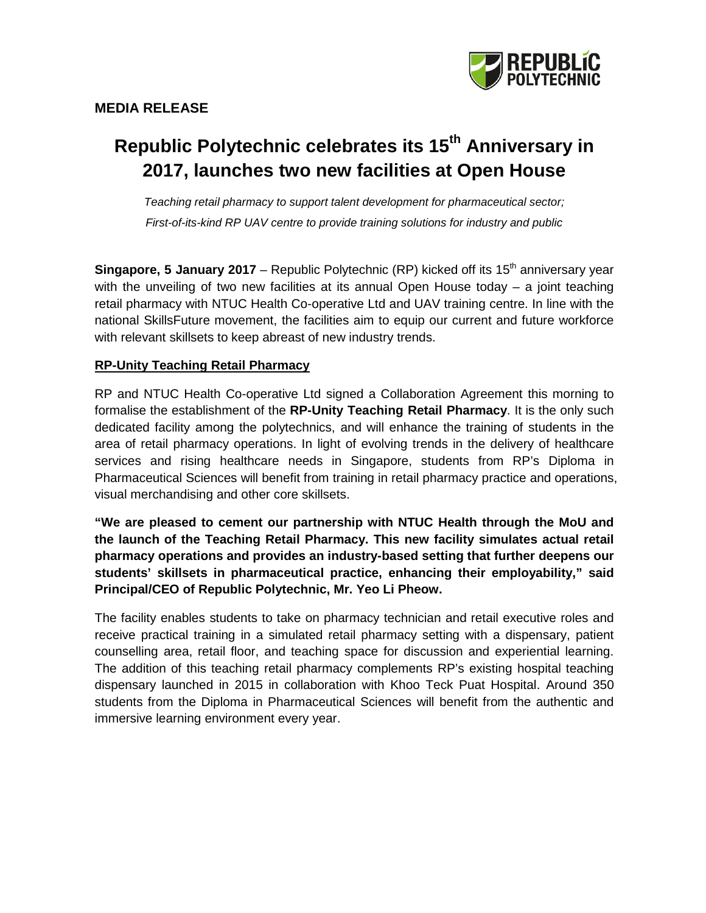

# **Republic Polytechnic celebrates its 15th Anniversary in 2017, launches two new facilities at Open House**

*Teaching retail pharmacy to support talent development for pharmaceutical sector; First-of-its-kind RP UAV centre to provide training solutions for industry and public*

**Singapore, 5 January 2017** – Republic Polytechnic (RP) kicked off its 15<sup>th</sup> anniversary year with the unveiling of two new facilities at its annual Open House today – a joint teaching retail pharmacy with NTUC Health Co-operative Ltd and UAV training centre. In line with the national SkillsFuture movement, the facilities aim to equip our current and future workforce with relevant skillsets to keep abreast of new industry trends.

# **RP-Unity Teaching Retail Pharmacy**

RP and NTUC Health Co-operative Ltd signed a Collaboration Agreement this morning to formalise the establishment of the **RP-Unity Teaching Retail Pharmacy**. It is the only such dedicated facility among the polytechnics, and will enhance the training of students in the area of retail pharmacy operations. In light of evolving trends in the delivery of healthcare services and rising healthcare needs in Singapore, students from RP's Diploma in Pharmaceutical Sciences will benefit from training in retail pharmacy practice and operations, visual merchandising and other core skillsets.

**"We are pleased to cement our partnership with NTUC Health through the MoU and the launch of the Teaching Retail Pharmacy. This new facility simulates actual retail pharmacy operations and provides an industry-based setting that further deepens our students' skillsets in pharmaceutical practice, enhancing their employability," said Principal/CEO of Republic Polytechnic, Mr. Yeo Li Pheow.**

The facility enables students to take on pharmacy technician and retail executive roles and receive practical training in a simulated retail pharmacy setting with a dispensary, patient counselling area, retail floor, and teaching space for discussion and experiential learning. The addition of this teaching retail pharmacy complements RP's existing hospital teaching dispensary launched in 2015 in collaboration with Khoo Teck Puat Hospital. Around 350 students from the Diploma in Pharmaceutical Sciences will benefit from the authentic and immersive learning environment every year.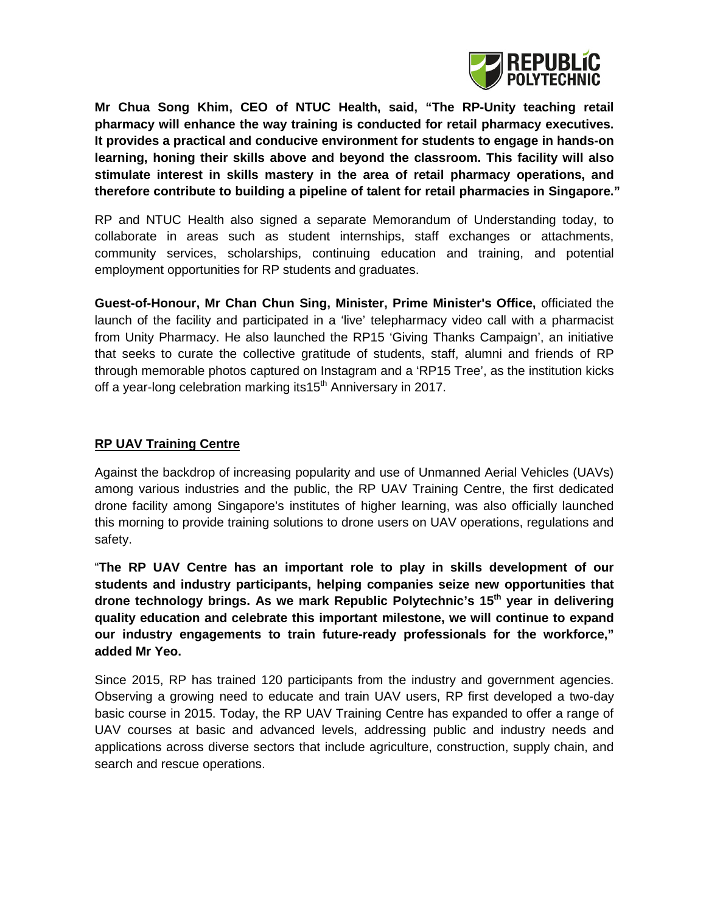

**Mr Chua Song Khim, CEO of NTUC Health, said, "The RP-Unity teaching retail pharmacy will enhance the way training is conducted for retail pharmacy executives. It provides a practical and conducive environment for students to engage in hands-on learning, honing their skills above and beyond the classroom. This facility will also stimulate interest in skills mastery in the area of retail pharmacy operations, and therefore contribute to building a pipeline of talent for retail pharmacies in Singapore."**

RP and NTUC Health also signed a separate Memorandum of Understanding today, to collaborate in areas such as student internships, staff exchanges or attachments, community services, scholarships, continuing education and training, and potential employment opportunities for RP students and graduates.

**Guest-of-Honour, Mr Chan Chun Sing, Minister, Prime Minister's Office,** officiated the launch of the facility and participated in a 'live' telepharmacy video call with a pharmacist from Unity Pharmacy. He also launched the RP15 'Giving Thanks Campaign', an initiative that seeks to curate the collective gratitude of students, staff, alumni and friends of RP through memorable photos captured on Instagram and a 'RP15 Tree', as the institution kicks off a year-long celebration marking its15<sup>th</sup> Anniversary in 2017.

#### **RP UAV Training Centre**

Against the backdrop of increasing popularity and use of Unmanned Aerial Vehicles (UAVs) among various industries and the public, the RP UAV Training Centre, the first dedicated drone facility among Singapore's institutes of higher learning, was also officially launched this morning to provide training solutions to drone users on UAV operations, regulations and safety.

"**The RP UAV Centre has an important role to play in skills development of our students and industry participants, helping companies seize new opportunities that drone technology brings. As we mark Republic Polytechnic's 15th year in delivering quality education and celebrate this important milestone, we will continue to expand our industry engagements to train future-ready professionals for the workforce," added Mr Yeo.**

Since 2015, RP has trained 120 participants from the industry and government agencies. Observing a growing need to educate and train UAV users, RP first developed a two-day basic course in 2015. Today, the RP UAV Training Centre has expanded to offer a range of UAV courses at basic and advanced levels, addressing public and industry needs and applications across diverse sectors that include agriculture, construction, supply chain, and search and rescue operations.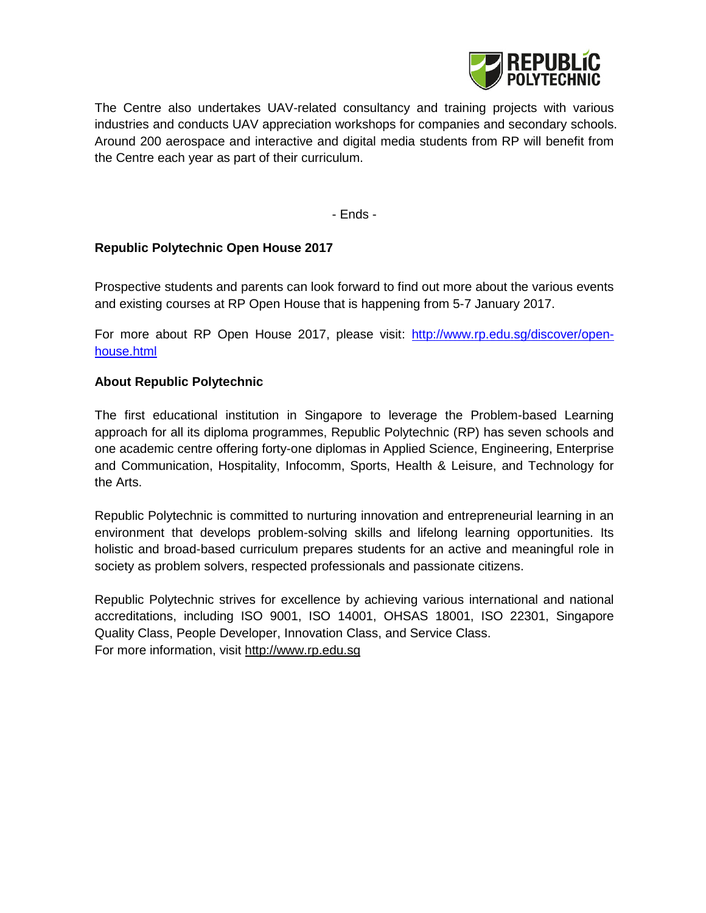

The Centre also undertakes UAV-related consultancy and training projects with various industries and conducts UAV appreciation workshops for companies and secondary schools. Around 200 aerospace and interactive and digital media students from RP will benefit from the Centre each year as part of their curriculum.

- Ends -

## **Republic Polytechnic Open House 2017**

Prospective students and parents can look forward to find out more about the various events and existing courses at RP Open House that is happening from 5-7 January 2017.

For more about RP Open House 2017, please visit: http://www.rp.edu.sq/discover/open[house.html](http://www.rp.edu.sg/discover/open-house.html)

#### **About Republic Polytechnic**

The first educational institution in Singapore to leverage the Problem-based Learning approach for all its diploma programmes, Republic Polytechnic (RP) has seven schools and one academic centre offering forty-one diplomas in Applied Science, Engineering, Enterprise and Communication, Hospitality, Infocomm, Sports, Health & Leisure, and Technology for the Arts.

Republic Polytechnic is committed to nurturing innovation and entrepreneurial learning in an environment that develops problem-solving skills and lifelong learning opportunities. Its holistic and broad-based curriculum prepares students for an active and meaningful role in society as problem solvers, respected professionals and passionate citizens.

Republic Polytechnic strives for excellence by achieving various international and national accreditations, including ISO 9001, ISO 14001, OHSAS 18001, ISO 22301, Singapore Quality Class, People Developer, Innovation Class, and Service Class. For more information, visit [http://www.rp.edu.sg](http://www.rp.edu.sg/)